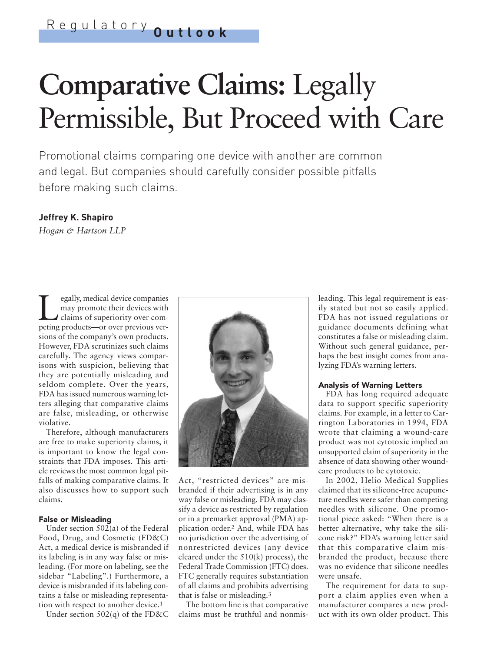# **Comparative Claims:** Legally Permissible, But Proceed with Care

Promotional claims comparing one device with another are common and legal. But companies should carefully consider possible pitfalls before making such claims.

# **Jeffrey K. Shapiro**

*Hogan & Hartson LLP*

Europanies<br>
may promote their devices with<br>
claims of superiority over com-<br>
pering products—or over previous vermay promote their devices with peting products—or over previous versions of the company's own products. However, FDA scrutinizes such claims carefully. The agency views comparisons with suspicion, believing that they are potentially misleading and seldom complete. Over the years, FDA has issued numerous warning letters alleging that comparative claims are false, misleading, or otherwise violative.

Therefore, although manufacturers are free to make superiority claims, it is important to know the legal constraints that FDA imposes. This article reviews the most common legal pitfalls of making comparative claims. It also discusses how to support such claims.

## False or Misleading

Under section 502(a) of the Federal Food, Drug, and Cosmetic (FD&C) Act, a medical device is misbranded if its labeling is in any way false or misleading. (For more on labeling, see the sidebar "Labeling".) Furthermore, a device is misbranded if its labeling contains a false or misleading representation with respect to another device.1

Under section 502(q) of the FD&C



Act, "restricted devices" are misbranded if their advertising is in any way false or misleading. FDA may classify a device as restricted by regulation or in a premarket approval (PMA) application order.2 And, while FDA has no jurisdiction over the advertising of nonrestricted devices (any device cleared under the 510(k) process), the Federal Trade Commission (FTC) does. FTC generally requires substantiation of all claims and prohibits advertising that is false or misleading.3

The bottom line is that comparative claims must be truthful and nonmisleading. This legal requirement is easily stated but not so easily applied. FDA has not issued regulations or guidance documents defining what constitutes a false or misleading claim. Without such general guidance, perhaps the best insight comes from analyzing FDA's warning letters.

## Analysis of Warning Letters

FDA has long required adequate data to support specific superiority claims. For example, in a letter to Carrington Laboratories in 1994, FDA wrote that claiming a wound-care product was not cytotoxic implied an unsupported claim of superiority in the absence of data showing other woundcare products to be cytotoxic.

In 2002, Helio Medical Supplies claimed that its silicone-free acupuncture needles were safer than competing needles with silicone. One promotional piece asked: "When there is a better alternative, why take the silicone risk?" FDA's warning letter said that this comparative claim misbranded the product, because there was no evidence that silicone needles were unsafe.

The requirement for data to support a claim applies even when a manufacturer compares a new product with its own older product. This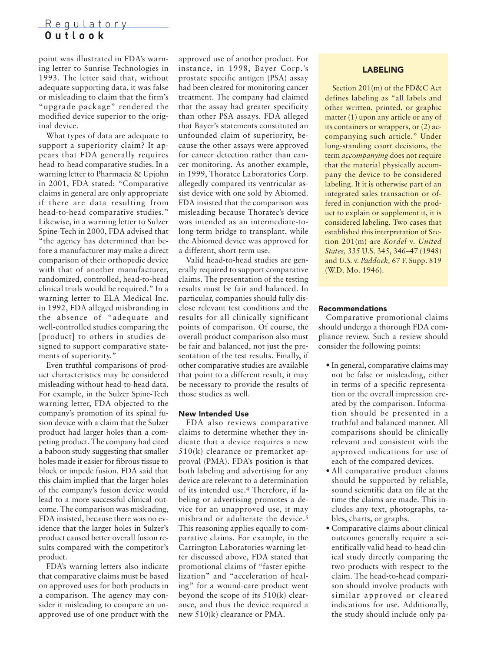# Regulatory **Outlook**

point was illustrated in FDA's warning letter to Sunrise Technologies in 1993. The letter said that, without adequate supporting data, it was false or misleading to claim that the firm's "upgrade package" rendered the modified device superior to the original device.

What types of data are adequate to support a superiority claim? It appears that FDA generally requires head-to-head comparative studies. In a warning letter to Pharmacia & Upjohn in 2001, FDA stated: "Comparative claims in general are only appropriate if there are data resulting from head-to-head comparative studies." Likewise, in a warning letter to Sulzer Spine-Tech in 2000, FDA advised that "the agency has determined that before a manufacturer may make a direct comparison of their orthopedic device with that of another manufacturer, randomized, controlled, head-to-head clinical trials would be required." In a warning letter to ELA Medical Inc. in 1992, FDA alleged misbranding in the absence of "adequate and well-controlled studies comparing the [product] to others in studies designed to support comparative statements of superiority."

Even truthful comparisons of product characteristics may be considered misleading without head-to-head data. For example, in the Sulzer Spine-Tech warning letter, FDA objected to the company's promotion of its spinal fusion device with a claim that the Sulzer product had larger holes than a competing product. The company had cited a baboon study suggesting that smaller holes made it easier for fibrous tissue to block or impede fusion. FDA said that this claim implied that the larger holes of the company's fusion device would lead to a more successful clinical outcome. The comparison was misleading, FDA insisted, because there was no evidence that the larger holes in Sulzer's product caused better overall fusion results compared with the competitor's product.

FDA's warning letters also indicate that comparative claims must be based on approved uses for both products in a comparison. The agency may consider it misleading to compare an unapproved use of one product with the approved use of another product. For instance, in 1998, Bayer Corp.'s prostate specific antigen (PSA) assay had been cleared for monitoring cancer treatment. The company had claimed that the assay had greater specificity than other PSA assays. FDA alleged that Bayer's statements constituted an unfounded claim of superiority, because the other assays were approved for cancer detection rather than cancer monitoring. As another example, in 1999, Thoratec Laboratories Corp. allegedly compared its ventricular assist device with one sold by Abiomed. FDA insisted that the comparison was misleading because Thoratec's device was intended as an intermediate-tolong-term bridge to transplant, while the Abiomed device was approved for a different, short-term use.

Valid head-to-head studies are generally required to support comparative claims. The presentation of the testing results must be fair and balanced. In particular, companies should fully disclose relevant test conditions and the results for all clinically significant points of comparison. Of course, the overall product comparison also must be fair and balanced, not just the presentation of the test results. Finally, if other comparative studies are available that point to a different result, it may be necessary to provide the results of those studies as well.

# New Intended Use

FDA also reviews comparative claims to determine whether they indicate that a device requires a new 510(k) clearance or premarket approval (PMA). FDA's position is that both labeling and advertising for any device are relevant to a determination of its intended use.4 Therefore, if labeling or advertising promotes a device for an unapproved use, it may misbrand or adulterate the device.5 This reasoning applies equally to comparative claims. For example, in the Carrington Laboratories warning letter discussed above, FDA stated that promotional claims of "faster epithelization" and "acceleration of healing" for a wound-care product went beyond the scope of its 510(k) clearance, and thus the device required a new 510(k) clearance or PMA.

## LABELING

Section 201(m) of the FD&C Act defines labeling as "all labels and other written, printed, or graphic matter (1) upon any article or any of its containers or wrappers, or (2) accompanying such article." Under long-standing court decisions, the term *accompanying* does not require that the material physically accompany the device to be considered labeling. If it is otherwise part of an integrated sales transaction or offered in conjunction with the product to explain or supplement it, it is considered labeling. Two cases that established this interpretation of Section 201(m) are *Kordel* v. *United States,* 335 U.S. 345, 346–47 (1948) and *U.S.* v. *Paddock,* 67 F. Supp. 819 (W.D. Mo. 1946).

### Recommendations

Comparative promotional claims should undergo a thorough FDA compliance review. Such a review should consider the following points:

- In general, comparative claims may not be false or misleading, either in terms of a specific representation or the overall impression created by the comparison. Information should be presented in a truthful and balanced manner. All comparisons should be clinically relevant and consistent with the approved indications for use of each of the compared devices.
- All comparative product claims should be supported by reliable, sound scientific data on file at the time the claims are made. This includes any text, photographs, tables, charts, or graphs.
- Comparative claims about clinical outcomes generally require a scientifically valid head-to-head clinical study directly comparing the two products with respect to the claim. The head-to-head comparison should involve products with similar approved or cleared indications for use. Additionally, the study should include only pa-